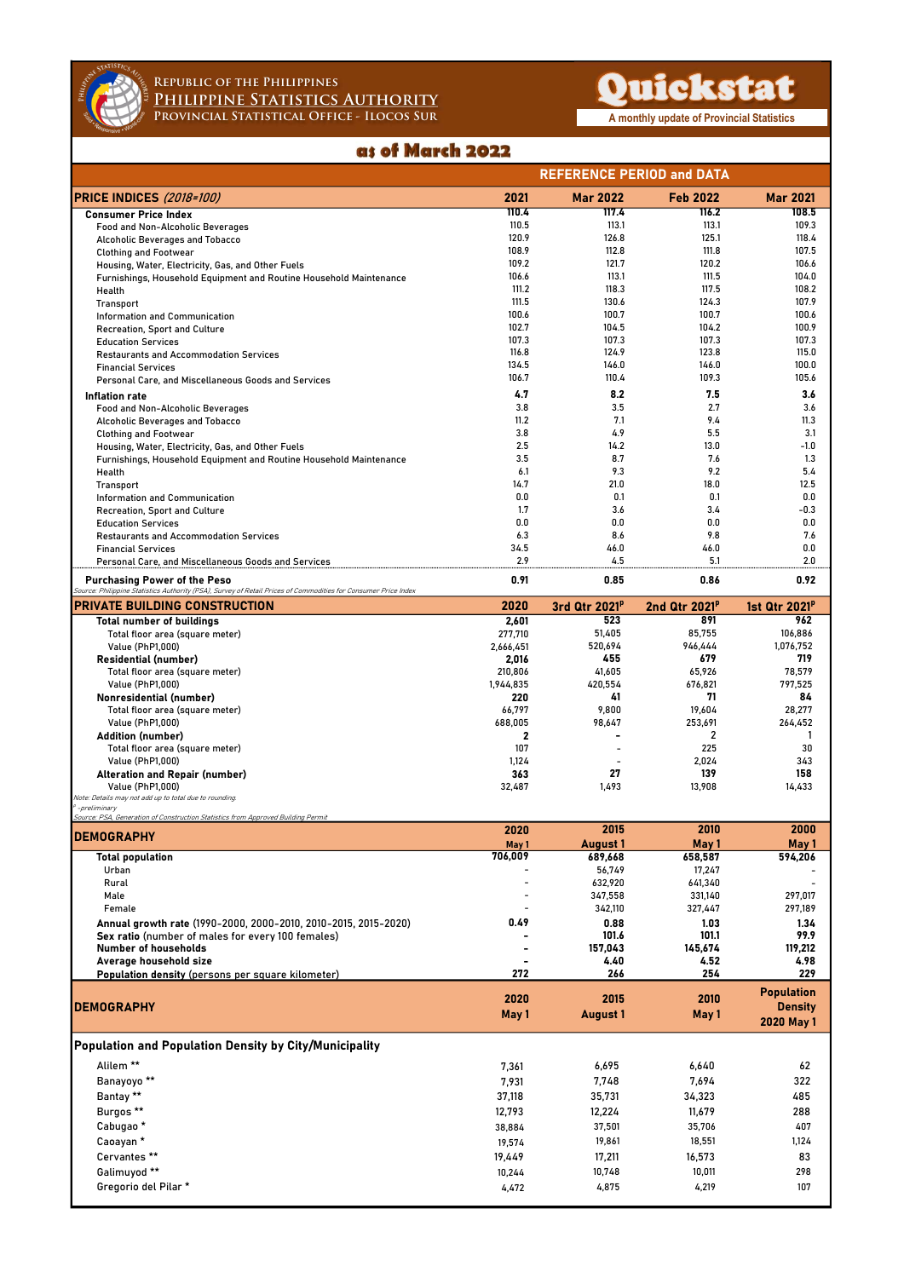

## Republic of the Philippines<br>Philippine Statistics Authority<br>Provincial Statistical Office - Ilocos Sur Philippine Statistics Authority REPUBLIC OF THE PHILIPPINES<br>
PHILIPPINE STATISTICS AUTHORITY<br>
PROVINCIAL STATISTICAL OFFICE - ILOCOS SUR<br> **as of March 2022**

|                                                                                                                                                        | <b>REFERENCE PERIOD and DATA</b> |                           |                           |                           |
|--------------------------------------------------------------------------------------------------------------------------------------------------------|----------------------------------|---------------------------|---------------------------|---------------------------|
| <b>PRICE INDICES (2018-100)</b>                                                                                                                        | 2021                             | <b>Mar 2022</b>           | <b>Feb 2022</b>           | <b>Mar 2021</b>           |
| <b>Consumer Price Index</b>                                                                                                                            | 110.4                            | 117.4                     | 116.2                     | 108.5                     |
| Food and Non-Alcoholic Beverages                                                                                                                       | 110.5<br>120.9                   | 113.1<br>126.8            | 113.1<br>125.1            | 109.3<br>118.4            |
| Alcoholic Beverages and Tobacco<br><b>Clothing and Footwear</b>                                                                                        | 108.9                            | 112.8                     | 111.8                     | 107.5                     |
| Housing, Water, Electricity, Gas, and Other Fuels                                                                                                      | 109.2                            | 121.7                     | 120.2                     | 106.6                     |
| Furnishings, Household Equipment and Routine Household Maintenance                                                                                     | 106.6                            | 113.1                     | 111.5                     | 104.0                     |
| Health                                                                                                                                                 | 111.2                            | 118.3                     | 117.5                     | 108.2                     |
| Transport                                                                                                                                              | 111.5<br>100.6                   | 130.6<br>100.7            | 124.3<br>100.7            | 107.9<br>100.6            |
| <b>Information and Communication</b><br>Recreation, Sport and Culture                                                                                  | 102.7                            | 104.5                     | 104.2                     | 100.9                     |
| <b>Education Services</b>                                                                                                                              | 107.3                            | 107.3                     | 107.3                     | 107.3                     |
| <b>Restaurants and Accommodation Services</b>                                                                                                          | 116.8                            | 124.9                     | 123.8                     | 115.0                     |
| <b>Financial Services</b>                                                                                                                              | 134.5                            | 146.0                     | 146.0                     | 100.0                     |
| Personal Care, and Miscellaneous Goods and Services                                                                                                    | 106.7                            | 110.4                     | 109.3                     | 105.6                     |
| Inflation rate                                                                                                                                         | 4.7                              | 8.2                       | 7.5                       | 3.6                       |
| Food and Non-Alcoholic Beverages                                                                                                                       | 3.8<br>11.2                      | 3.5<br>7.1                | 2.7<br>9.4                | 3.6<br>11.3               |
| Alcoholic Beverages and Tobacco<br><b>Clothing and Footwear</b>                                                                                        | 3.8                              | 4.9                       | 5.5                       | 3.1                       |
| Housing, Water, Electricity, Gas, and Other Fuels                                                                                                      | 2.5                              | 14.2                      | 13.0                      | $-1.0$                    |
| Furnishings, Household Equipment and Routine Household Maintenance                                                                                     | 3.5                              | 8.7                       | 7.6                       | 1.3                       |
| Health                                                                                                                                                 | 6.1                              | 9.3                       | 9.2                       | 5.4                       |
| <b>Transport</b>                                                                                                                                       | 14.7                             | 21.0                      | 18.0                      | 12.5                      |
| Information and Communication                                                                                                                          | 0.0                              | 0.1                       | 0.1                       | 0.0                       |
| Recreation, Sport and Culture                                                                                                                          | 1.7<br>0.0                       | 3.6<br>0.0                | 3.4<br>0.0                | $-0.3$<br>0.0             |
| <b>Education Services</b><br><b>Restaurants and Accommodation Services</b>                                                                             | 6.3                              | 8.6                       | 9.8                       | 7.6                       |
| <b>Financial Services</b>                                                                                                                              | 34.5                             | 46.0                      | 46.0                      | 0.0                       |
| Personal Care, and Miscellaneous Goods and Services                                                                                                    | 2.9                              | 4.5                       | 5.1                       | 2.0                       |
| <b>Purchasing Power of the Peso</b>                                                                                                                    | 0.91                             | 0.85                      | 0.86                      | 0.92                      |
| Source: Philippine Statistics Authority (PSA), Survey of Retail Prices of Commodities for Consumer Price Index<br><b>PRIVATE BUILDING CONSTRUCTION</b> | 2020                             | 3rd Qtr 2021 <sup>P</sup> | 2nd Qtr 2021 <sup>p</sup> | 1st Qtr 2021 <sup>P</sup> |
| <b>Total number of buildings</b>                                                                                                                       | 2,601                            | 523                       | 891                       | 962                       |
| Total floor area (square meter)                                                                                                                        | 277,710                          | 51,405                    | 85,755                    | 106,886                   |
| Value (PhP1,000)                                                                                                                                       | 2,666,451                        | 520,694                   | 946,444                   | 1,076,752                 |
| <b>Residential (number)</b>                                                                                                                            | 2,016                            | 455                       | 679                       | 719                       |
| Total floor area (square meter)                                                                                                                        | 210,806                          | 41,605                    | 65,926                    | 78,579                    |
| Value (PhP1,000)                                                                                                                                       | 1,944,835                        | 420,554<br>41             | 676,821<br>71             | 797,525                   |
| <b>Nonresidential (number)</b><br>Total floor area (square meter)                                                                                      | 220<br>66,797                    | 9,800                     | 19,604                    | 84<br>28,277              |
| Value (PhP1,000)                                                                                                                                       | 688,005                          | 98,647                    | 253,691                   | 264,452                   |
| <b>Addition (number)</b>                                                                                                                               | 2                                |                           | 2                         | -1                        |
| Total floor area (square meter)                                                                                                                        | 107                              | $\overline{\phantom{a}}$  | 225                       | 30                        |
| Value (PhP1,000)                                                                                                                                       | 1,124                            | $\overline{\phantom{a}}$  | 2,024                     | 343                       |
| <b>Alteration and Repair (number)</b>                                                                                                                  | 363                              | 27                        | 139                       | 158                       |
| <b>Value (PhP1.000)</b><br>Note: Details may not add up to total due to rounding.                                                                      | 32,487                           | 1,493                     | 13,908                    | 14,433                    |
| <sup>P</sup> -preliminary<br>Source: PSA, Generation of Construction Statistics from Approved Building Permit                                          |                                  |                           |                           |                           |
|                                                                                                                                                        | 2020                             | 2015                      | 2010                      | 2000                      |
| <b>DEMOGRAPHY</b>                                                                                                                                      | May 1                            | <b>August 1</b>           | May 1                     | May 1                     |
| <b>Total population</b>                                                                                                                                | 706,009                          | 689,668                   | 658,587                   | 594,206                   |
| Urban                                                                                                                                                  |                                  | 56,749                    | 17,247                    |                           |
| Rural<br>Male                                                                                                                                          |                                  | 632,920<br>347,558        | 641,340<br>331,140        | 297,017                   |
| Female                                                                                                                                                 |                                  | 342,110                   | 327,447                   | 297,189                   |
| Annual growth rate (1990-2000, 2000-2010, 2010-2015, 2015-2020)                                                                                        | 0.49                             | 0.88                      | 1.03                      | 1.34                      |
| Sex ratio (number of males for every 100 females)                                                                                                      |                                  | 101.6                     | 101.1                     | 99.9                      |
| <b>Number of households</b>                                                                                                                            |                                  | 157,043                   | 145,674                   | 119,212                   |
| Average household size                                                                                                                                 |                                  | 4.40                      | 4.52                      | 4.98                      |
| Population density (persons per square kilometer)                                                                                                      | 272                              | 266                       | 254                       | 229                       |
|                                                                                                                                                        | 2020                             | 2015                      | 2010                      | <b>Population</b>         |
| <b>DEMOGRAPHY</b>                                                                                                                                      | May 1                            | <b>August 1</b>           | May 1                     | <b>Density</b>            |
|                                                                                                                                                        |                                  |                           |                           | <b>2020 May 1</b>         |
| Population and Population Density by City/Municipality                                                                                                 |                                  |                           |                           |                           |
| Alilem **                                                                                                                                              | 7,361                            | 6,695                     | 6,640                     | 62                        |
| Banayoyo **                                                                                                                                            | 7,931                            | 7,748                     | 7,694                     | 322                       |
| Bantay **                                                                                                                                              | 37,118                           | 35,731                    | 34,323                    | 485                       |
| Burgos <sup>**</sup>                                                                                                                                   | 12,793                           | 12,224                    | 11,679                    | 288                       |
| Cabugao <sup>*</sup>                                                                                                                                   | 38,884                           | 37,501                    | 35,706                    | 407                       |
| Caoayan *                                                                                                                                              | 19,574                           | 19,861                    | 18,551                    | 1,124                     |
| Cervantes**                                                                                                                                            | 19,449                           | 17,211                    | 16,573                    | 83                        |
| Galimuyod **                                                                                                                                           | 10,244                           | 10,748                    | 10,011                    | 298                       |
| Gregorio del Pilar *                                                                                                                                   | 4,472                            | 4,875                     | 4,219                     | 107                       |
|                                                                                                                                                        |                                  |                           |                           |                           |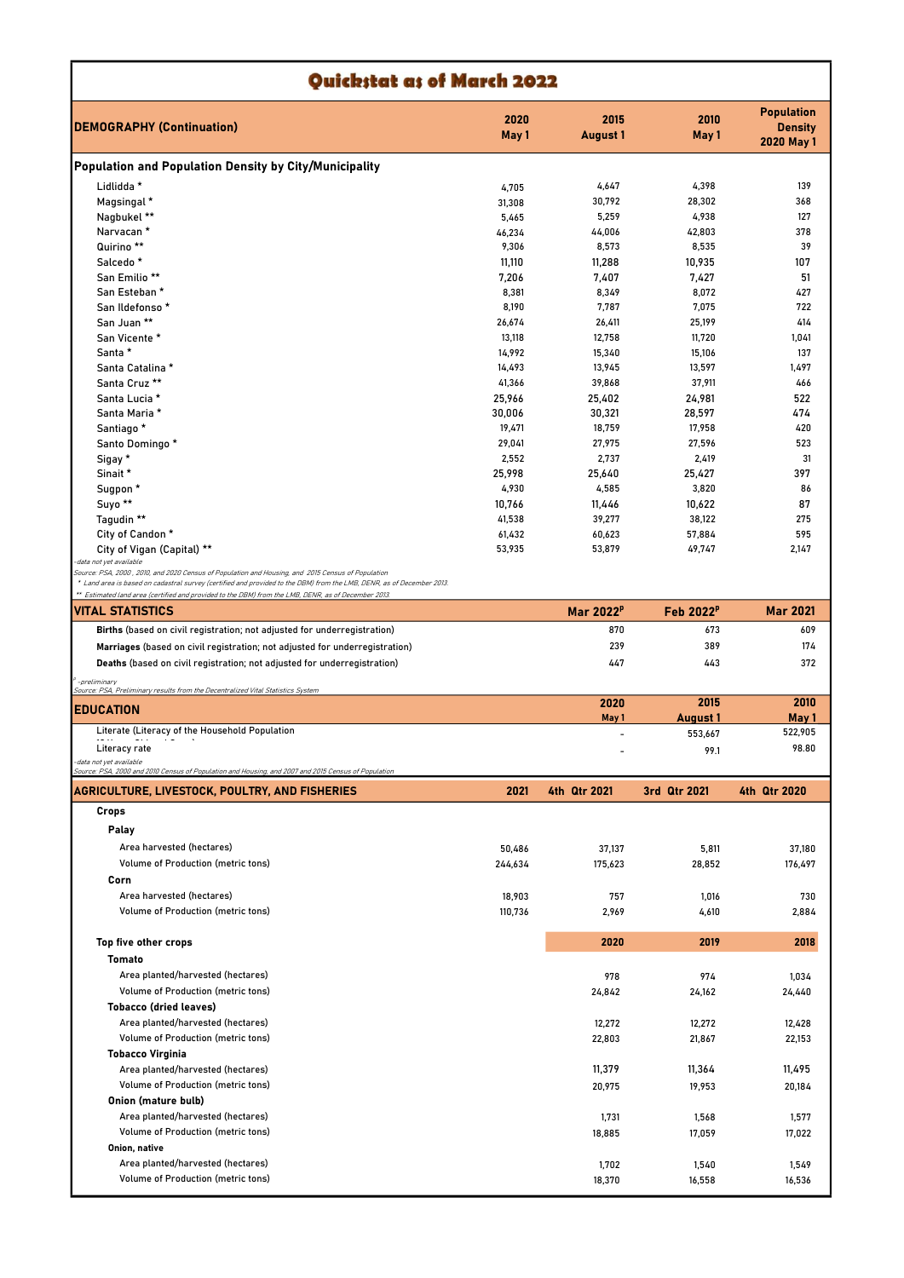| Quickstat as of March 2022                                                                                                                                                                                                   |                  |                         |                         |                                                   |  |  |
|------------------------------------------------------------------------------------------------------------------------------------------------------------------------------------------------------------------------------|------------------|-------------------------|-------------------------|---------------------------------------------------|--|--|
| <b>DEMOGRAPHY (Continuation)</b>                                                                                                                                                                                             | 2020<br>May 1    | 2015<br><b>August 1</b> | 2010<br>May 1           | <b>Population</b><br><b>Density</b><br>2020 May 1 |  |  |
| Population and Population Density by City/Municipality                                                                                                                                                                       |                  |                         |                         |                                                   |  |  |
| Lidlidda *                                                                                                                                                                                                                   | 4,705            | 4,647                   | 4,398                   | 139                                               |  |  |
| Magsingal *                                                                                                                                                                                                                  | 31,308           | 30,792                  | 28,302                  | 368                                               |  |  |
| Nagbukel **                                                                                                                                                                                                                  | 5,465            | 5,259                   | 4,938                   | 127                                               |  |  |
| Narvacan *                                                                                                                                                                                                                   | 46,234           | 44,006                  | 42,803                  | 378                                               |  |  |
| Quirino **                                                                                                                                                                                                                   | 9,306            | 8,573                   | 8,535                   | 39                                                |  |  |
| Salcedo <sup>*</sup>                                                                                                                                                                                                         | 11,110           | 11,288                  | 10,935                  | 107                                               |  |  |
| San Emilio <sup>**</sup><br>San Esteban *                                                                                                                                                                                    | 7,206<br>8,381   | 7,407<br>8,349          | 7,427<br>8,072          | 51<br>427                                         |  |  |
| San Ildefonso *                                                                                                                                                                                                              | 8,190            | 7,787                   | 7,075                   | 722                                               |  |  |
| San Juan **                                                                                                                                                                                                                  | 26,674           | 26,411                  | 25,199                  | 414                                               |  |  |
| San Vicente *                                                                                                                                                                                                                | 13,118           | 12,758                  | 11,720                  | 1,041                                             |  |  |
| Santa *                                                                                                                                                                                                                      | 14,992           | 15,340                  | 15,106                  | 137                                               |  |  |
| Santa Catalina *                                                                                                                                                                                                             | 14,493           | 13,945                  | 13,597                  | 1,497                                             |  |  |
| Santa Cruz **                                                                                                                                                                                                                | 41,366           | 39,868                  | 37,911                  | 466                                               |  |  |
| Santa Lucia *                                                                                                                                                                                                                | 25,966           | 25,402                  | 24,981                  | 522                                               |  |  |
| Santa Maria *                                                                                                                                                                                                                | 30,006           | 30,321                  | 28,597                  | 474                                               |  |  |
| Santiago *                                                                                                                                                                                                                   | 19,471           | 18,759                  | 17,958                  | 420                                               |  |  |
| Santo Domingo *                                                                                                                                                                                                              | 29,041           | 27,975                  | 27,596                  | 523                                               |  |  |
| Sigay *                                                                                                                                                                                                                      | 2,552            | 2,737                   | 2,419                   | 31                                                |  |  |
| Sinait *                                                                                                                                                                                                                     | 25,998           | 25,640                  | 25,427                  | 397                                               |  |  |
| Sugpon *                                                                                                                                                                                                                     | 4,930            | 4,585                   | 3,820                   | 86                                                |  |  |
| Suyo <sup>**</sup>                                                                                                                                                                                                           | 10,766           | 11,446                  | 10,622                  | 87                                                |  |  |
| Tagudin **                                                                                                                                                                                                                   | 41,538           | 39,277                  | 38,122                  | 275<br>595                                        |  |  |
| City of Candon *<br>City of Vigan (Capital) **                                                                                                                                                                               | 61,432<br>53,935 | 60,623<br>53,879        | 57,884<br>49,747        | 2,147                                             |  |  |
| data not yet available                                                                                                                                                                                                       |                  |                         |                         |                                                   |  |  |
| Source: PSA, 2000 , 2010, and 2020 Census of Population and Housing, and 2015 Census of Population                                                                                                                           |                  |                         |                         |                                                   |  |  |
| * Land area is based on cadastral survey (certified and provided to the DBM) from the LMB, DENR, as of December 2013.<br>** Estimated land area (certified and provided to the DBM) from the LMB, DENR, as of December 2013. |                  |                         |                         |                                                   |  |  |
| VITAL STATISTICS                                                                                                                                                                                                             |                  | Mar 2022 <sup>P</sup>   | Feb 2022 <sup>P</sup>   | <b>Mar 2021</b>                                   |  |  |
| Births (based on civil registration; not adjusted for underregistration)                                                                                                                                                     |                  | 870                     | 673                     | 609                                               |  |  |
| Marriages (based on civil registration; not adjusted for underregistration)                                                                                                                                                  |                  | 239                     | 389                     | 174                                               |  |  |
| Deaths (based on civil registration; not adjusted for underregistration)                                                                                                                                                     |                  | 447                     | 443                     | 372                                               |  |  |
|                                                                                                                                                                                                                              |                  |                         |                         |                                                   |  |  |
| -preliminary<br>Source: PSA, Preliminary results from the Decentralized Vital Statistics System                                                                                                                              |                  |                         |                         |                                                   |  |  |
| <b>EDUCATION</b>                                                                                                                                                                                                             |                  | 2020<br>May 1           | 2015<br><b>August 1</b> | 2010<br>May 1                                     |  |  |
| Literate (Literacy of the Household Population                                                                                                                                                                               |                  |                         | 553,667                 | 522,905                                           |  |  |
| Literacy rate                                                                                                                                                                                                                |                  |                         | 99.1                    | 98.80                                             |  |  |
| data not yet available                                                                                                                                                                                                       |                  |                         |                         |                                                   |  |  |
| Source: PSA, 2000 and 2010 Census of Population and Housing, and 2007 and 2015 Census of Population                                                                                                                          |                  |                         |                         |                                                   |  |  |
| AGRICULTURE, LIVESTOCK, POULTRY, AND FISHERIES                                                                                                                                                                               | 2021             | 4th Qtr 2021            | 3rd Qtr 2021            | 4th Qtr 2020                                      |  |  |
| Crops                                                                                                                                                                                                                        |                  |                         |                         |                                                   |  |  |
| Palay                                                                                                                                                                                                                        |                  |                         |                         |                                                   |  |  |
| Area harvested (hectares)                                                                                                                                                                                                    | 50,486           | 37,137                  | 5,811                   | 37,180                                            |  |  |
| Volume of Production (metric tons)                                                                                                                                                                                           | 244,634          | 175,623                 | 28,852                  | 176,497                                           |  |  |
| Corn                                                                                                                                                                                                                         |                  |                         |                         |                                                   |  |  |
| Area harvested (hectares)                                                                                                                                                                                                    | 18,903           | 757                     | 1,016                   | 730                                               |  |  |
| Volume of Production (metric tons)                                                                                                                                                                                           | 110,736          | 2,969                   | 4,610                   | 2,884                                             |  |  |
|                                                                                                                                                                                                                              |                  | 2020                    | 2019                    |                                                   |  |  |
| Top five other crops                                                                                                                                                                                                         |                  |                         |                         | 2018                                              |  |  |
| Tomato                                                                                                                                                                                                                       |                  |                         |                         |                                                   |  |  |
| Area planted/harvested (hectares)                                                                                                                                                                                            |                  | 978                     | 974                     | 1,034                                             |  |  |
| Volume of Production (metric tons)                                                                                                                                                                                           |                  | 24,842                  | 24,162                  | 24,440                                            |  |  |
| <b>Tobacco (dried leaves)</b>                                                                                                                                                                                                |                  |                         |                         |                                                   |  |  |
| Area planted/harvested (hectares)<br>Volume of Production (metric tons)                                                                                                                                                      |                  | 12,272                  | 12,272                  | 12,428                                            |  |  |
|                                                                                                                                                                                                                              |                  | 22,803                  | 21,867                  | 22,153                                            |  |  |
| <b>Tobacco Virginia</b>                                                                                                                                                                                                      |                  |                         |                         |                                                   |  |  |
| Area planted/harvested (hectares)                                                                                                                                                                                            |                  | 11,379                  | 11,364                  | 11,495                                            |  |  |
| Volume of Production (metric tons)                                                                                                                                                                                           |                  | 20,975                  | 19,953                  | 20,184                                            |  |  |
| Onion (mature bulb)                                                                                                                                                                                                          |                  |                         |                         |                                                   |  |  |
| Area planted/harvested (hectares)                                                                                                                                                                                            |                  | 1,731                   | 1,568                   | 1,577                                             |  |  |
| Volume of Production (metric tons)                                                                                                                                                                                           |                  | 18,885                  | 17,059                  | 17,022                                            |  |  |
| Onion, native                                                                                                                                                                                                                |                  |                         |                         |                                                   |  |  |
| Area planted/harvested (hectares)<br>Volume of Production (metric tons)                                                                                                                                                      |                  | 1,702                   | 1,540                   | 1,549                                             |  |  |
|                                                                                                                                                                                                                              |                  | 18,370                  | 16,558                  | 16,536                                            |  |  |